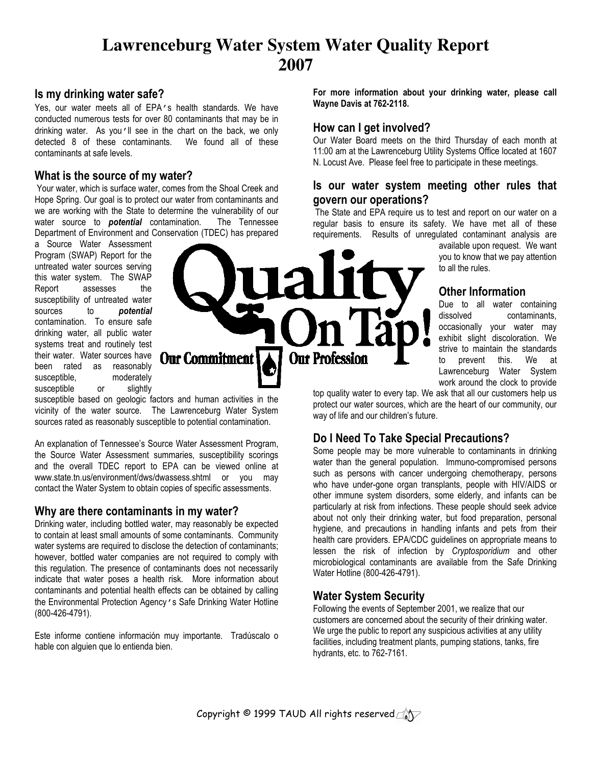## **Lawrenceburg Water System Water Quality Report 2007**

#### Is my drinking water safe?

Yes, our water meets all of EPA's health standards. We have conducted numerous tests for over 80 contaminants that may be in drinking water. As you'll see in the chart on the back, we only detected 8 of these contaminants. We found all of these contaminants at safe levels.

## What is the source of my water?

 Your water, which is surface water, comes from the Shoal Creek and Hope Spring. Our goal is to protect our water from contaminants and we are working with the State to determine the vulnerability of our water source to **potential** contamination. The Tennessee Department of Environment and Conservation (TDEC) has prepared

a Source Water Assessment Program (SWAP) Report for the untreated water sources serving this water system. The SWAP Report assesses the susceptibility of untreated water sources to **potential** contamination. To ensure safe drinking water, all public water systems treat and routinely test their water. Water sources have been rated as reasonably susceptible, moderately susceptible or slightly



**Our Commitment** 

An explanation of Tennessee's Source Water Assessment Program, the Source Water Assessment summaries, susceptibility scorings and the overall TDEC report to EPA can be viewed online at www.state.tn.us/environment/dws/dwassess.shtml or you may contact the Water System to obtain copies of specific assessments.

#### Why are there contaminants in my water?

Drinking water, including bottled water, may reasonably be expected to contain at least small amounts of some contaminants. Community water systems are required to disclose the detection of contaminants; however, bottled water companies are not required to comply with this regulation. The presence of contaminants does not necessarily indicate that water poses a health risk. More information about contaminants and potential health effects can be obtained by calling the Environmental Protection Agency's Safe Drinking Water Hotline (800-426-4791).

Este informe contiene información muy importante. Tradúscalo o hable con alguien que lo entienda bien.

For more information about your drinking water, please call Wayne Davis at 762-2118.

### How can I get involved?

Our Water Board meets on the third Thursday of each month at 11:00 am at the Lawrenceburg Utility Systems Office located at 1607 N. Locust Ave. Please feel free to participate in these meetings.

## Is our water system meeting other rules that govern our operations?

 The State and EPA require us to test and report on our water on a regular basis to ensure its safety. We have met all of these requirements. Results of unregulated contaminant analysis are

available upon request. We want you to know that we pay attention to all the rules.

## Other Information

Due to all water containing dissolved contaminants, occasionally your water may exhibit slight discoloration. We strive to maintain the standards to prevent this. We at Lawrenceburg Water System work around the clock to provide

top quality water to every tap. We ask that all our customers help us protect our water sources, which are the heart of our community, our way of life and our children's future.

## Do I Need To Take Special Precautions?

Some people may be more vulnerable to contaminants in drinking water than the general population. Immuno-compromised persons such as persons with cancer undergoing chemotherapy, persons who have under-gone organ transplants, people with HIV/AIDS or other immune system disorders, some elderly, and infants can be particularly at risk from infections. These people should seek advice about not only their drinking water, but food preparation, personal hygiene, and precautions in handling infants and pets from their health care providers. EPA/CDC guidelines on appropriate means to lessen the risk of infection by Cryptosporidium and other microbiological contaminants are available from the Safe Drinking Water Hotline (800-426-4791).

## Water System Security

**Our Profession** 

Following the events of September 2001, we realize that our customers are concerned about the security of their drinking water. We urge the public to report any suspicious activities at any utility facilities, including treatment plants, pumping stations, tanks, fire hydrants, etc. to 762-7161.

Copyright © 1999 TAUD All rights reserved $\text{Cov}$